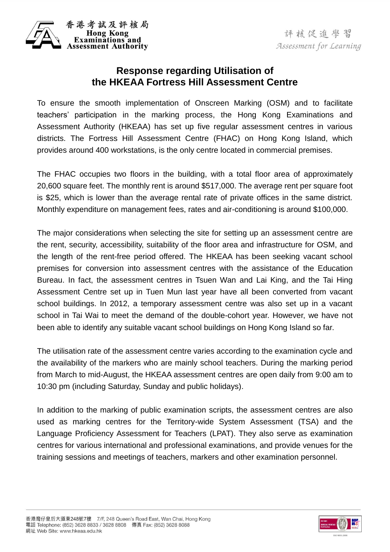

評核促進學習 Assessment for Learning

## **Response regarding Utilisation of the HKEAA Fortress Hill Assessment Centre**

 To ensure the smooth implementation of Onscreen Marking (OSM) and to facilitate teachers' participation in the marking process, the Hong Kong Examinations and Assessment Authority (HKEAA) has set up five regular assessment centres in various districts. The Fortress Hill Assessment Centre (FHAC) on Hong Kong Island, which provides around 400 workstations, is the only centre located in commercial premises.

provides around 400 workstations, is the only centre located in commercial premises.<br>The FHAC occupies two floors in the building, with a total floor area of approximately 20,600 square feet. The monthly rent is around \$517,000. The average rent per square foot is \$25, which is lower than the average rental rate of private offices in the same district. Monthly expenditure on management fees, rates and air-conditioning is around \$100,000.

Monthly expenditure on management fees, rates and air-conditioning is around \$100,000.<br>The major considerations when selecting the site for setting up an assessment centre are the rent, security, accessibility, suitability of the floor area and infrastructure for OSM, and the length of the rent-free period offered. The HKEAA has been seeking vacant school premises for conversion into assessment centres with the assistance of the Education Bureau. In fact, the assessment centres in Tsuen Wan and Lai King, and the Tai Hing Assessment Centre set up in Tuen Mun last year have all been converted from vacant school buildings. In 2012, a temporary assessment centre was also set up in a vacant school in Tai Wai to meet the demand of the double-cohort year. However, we have not been able to identify any suitable vacant school buildings on Hong Kong Island so far.

 the availability of the markers who are mainly school teachers. During the marking period from March to mid-August, the HKEAA assessment centres are open daily from 9:00 am to 10:30 pm (including Saturday, Sunday and public holidays). The utilisation rate of the assessment centre varies according to the examination cycle and

 In addition to the marking of public examination scripts, the assessment centres are also used as marking centres for the Territory-wide System Assessment (TSA) and the Language Proficiency Assessment for Teachers (LPAT). They also serve as examination training sessions and meetings of teachers, markers and other examination personnel. centres for various international and professional examinations, and provide venues for the